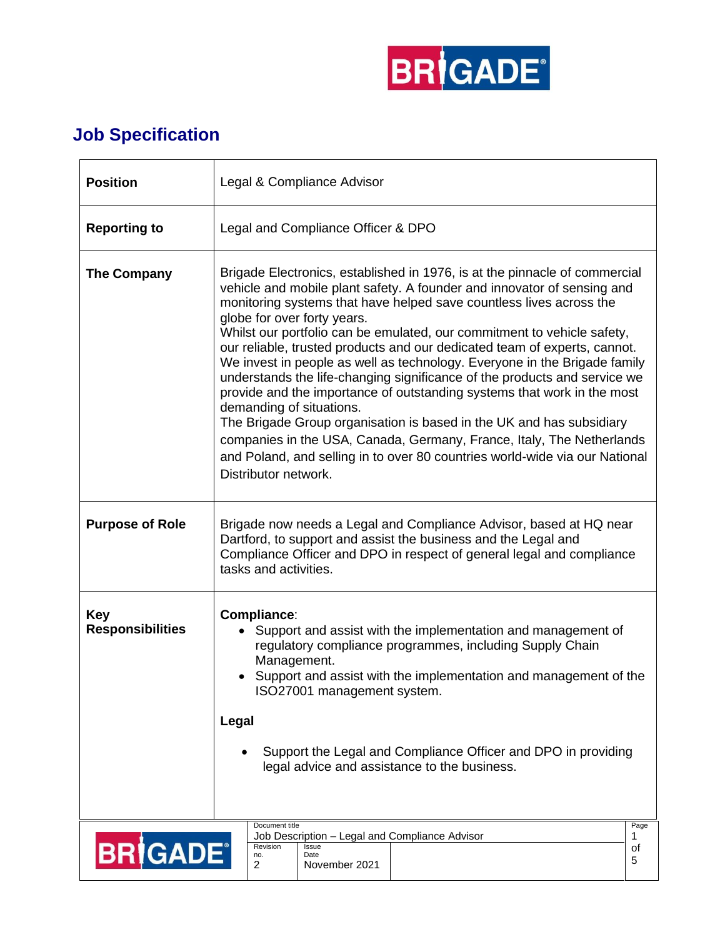

## **Job Specification**

| <b>Position</b>                       | Legal & Compliance Advisor                                                                                                                                                                                                                                                                                                                                                                                                                                                                                                                                                                                                                                                                                                                                                                                                                                                                                                                   |  |  |  |
|---------------------------------------|----------------------------------------------------------------------------------------------------------------------------------------------------------------------------------------------------------------------------------------------------------------------------------------------------------------------------------------------------------------------------------------------------------------------------------------------------------------------------------------------------------------------------------------------------------------------------------------------------------------------------------------------------------------------------------------------------------------------------------------------------------------------------------------------------------------------------------------------------------------------------------------------------------------------------------------------|--|--|--|
| <b>Reporting to</b>                   | Legal and Compliance Officer & DPO                                                                                                                                                                                                                                                                                                                                                                                                                                                                                                                                                                                                                                                                                                                                                                                                                                                                                                           |  |  |  |
| <b>The Company</b>                    | Brigade Electronics, established in 1976, is at the pinnacle of commercial<br>vehicle and mobile plant safety. A founder and innovator of sensing and<br>monitoring systems that have helped save countless lives across the<br>globe for over forty years.<br>Whilst our portfolio can be emulated, our commitment to vehicle safety,<br>our reliable, trusted products and our dedicated team of experts, cannot.<br>We invest in people as well as technology. Everyone in the Brigade family<br>understands the life-changing significance of the products and service we<br>provide and the importance of outstanding systems that work in the most<br>demanding of situations.<br>The Brigade Group organisation is based in the UK and has subsidiary<br>companies in the USA, Canada, Germany, France, Italy, The Netherlands<br>and Poland, and selling in to over 80 countries world-wide via our National<br>Distributor network. |  |  |  |
| <b>Purpose of Role</b>                | Brigade now needs a Legal and Compliance Advisor, based at HQ near<br>Dartford, to support and assist the business and the Legal and<br>Compliance Officer and DPO in respect of general legal and compliance<br>tasks and activities.                                                                                                                                                                                                                                                                                                                                                                                                                                                                                                                                                                                                                                                                                                       |  |  |  |
| <b>Key</b><br><b>Responsibilities</b> | Compliance:<br>Support and assist with the implementation and management of<br>regulatory compliance programmes, including Supply Chain<br>Management.<br>Support and assist with the implementation and management of the<br>ISO27001 management system.<br>Legal<br>Support the Legal and Compliance Officer and DPO in providing<br>legal advice and assistance to the business.                                                                                                                                                                                                                                                                                                                                                                                                                                                                                                                                                          |  |  |  |
| <b>BRIGADE®</b>                       | Document title<br>Page<br>Job Description - Legal and Compliance Advisor<br>1<br>Revision<br>Issue<br>οf<br>Date<br>no.<br>5<br>2<br>November 2021                                                                                                                                                                                                                                                                                                                                                                                                                                                                                                                                                                                                                                                                                                                                                                                           |  |  |  |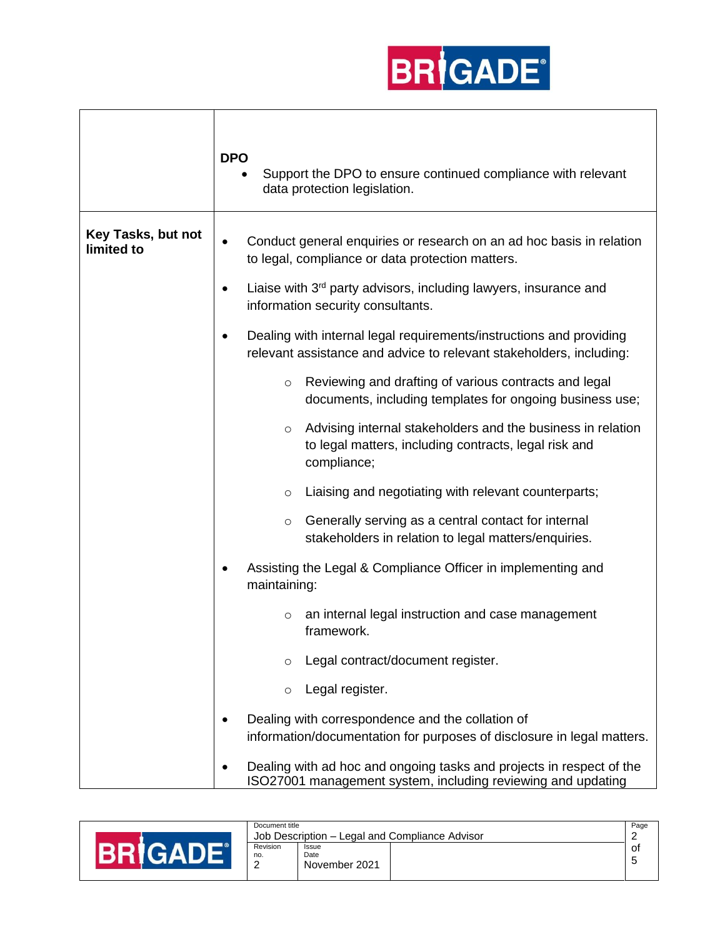

|                                  | <b>DPO</b><br>Support the DPO to ensure continued compliance with relevant<br>data protection legislation.                                                                                                            |
|----------------------------------|-----------------------------------------------------------------------------------------------------------------------------------------------------------------------------------------------------------------------|
| Key Tasks, but not<br>limited to | Conduct general enquiries or research on an ad hoc basis in relation<br>$\bullet$<br>to legal, compliance or data protection matters.<br>Liaise with 3 <sup>rd</sup> party advisors, including lawyers, insurance and |
|                                  | information security consultants.                                                                                                                                                                                     |
|                                  | Dealing with internal legal requirements/instructions and providing<br>relevant assistance and advice to relevant stakeholders, including:                                                                            |
|                                  | Reviewing and drafting of various contracts and legal<br>$\circ$<br>documents, including templates for ongoing business use;                                                                                          |
|                                  | Advising internal stakeholders and the business in relation<br>$\circ$<br>to legal matters, including contracts, legal risk and<br>compliance;                                                                        |
|                                  | Liaising and negotiating with relevant counterparts;<br>$\circ$                                                                                                                                                       |
|                                  | Generally serving as a central contact for internal<br>$\circ$<br>stakeholders in relation to legal matters/enquiries.                                                                                                |
|                                  | Assisting the Legal & Compliance Officer in implementing and<br>maintaining:                                                                                                                                          |
|                                  | an internal legal instruction and case management<br>$\circ$<br>framework.                                                                                                                                            |
|                                  | Legal contract/document register.                                                                                                                                                                                     |
|                                  | Legal register.<br>$\circ$                                                                                                                                                                                            |
|                                  | Dealing with correspondence and the collation of<br>information/documentation for purposes of disclosure in legal matters.                                                                                            |
|                                  | Dealing with ad hoc and ongoing tasks and projects in respect of the<br>ISO27001 management system, including reviewing and updating                                                                                  |

| Document title            | Job Description – Legal and Compliance Advisor | Page |
|---------------------------|------------------------------------------------|------|
| Revision<br>no.<br>c<br>_ | <b>Issue</b><br>Date<br>November 2021          | 0t   |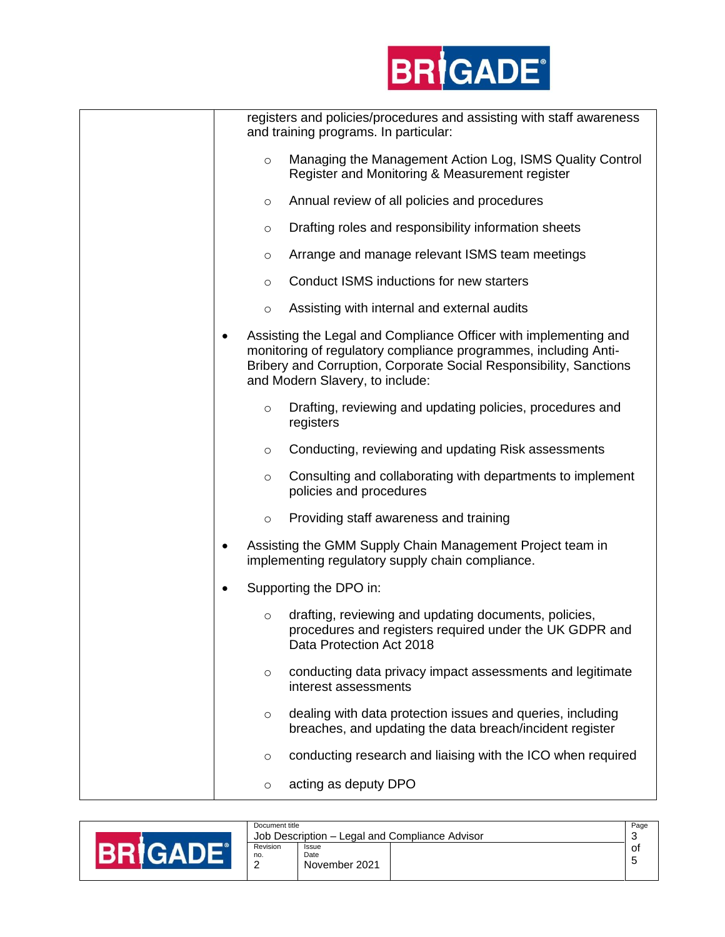

| registers and policies/procedures and assisting with staff awareness<br>and training programs. In particular:                                                                                                                                |
|----------------------------------------------------------------------------------------------------------------------------------------------------------------------------------------------------------------------------------------------|
| Managing the Management Action Log, ISMS Quality Control<br>$\circ$<br>Register and Monitoring & Measurement register                                                                                                                        |
| Annual review of all policies and procedures<br>$\circ$                                                                                                                                                                                      |
| Drafting roles and responsibility information sheets<br>$\circ$                                                                                                                                                                              |
| Arrange and manage relevant ISMS team meetings<br>$\circ$                                                                                                                                                                                    |
| Conduct ISMS inductions for new starters<br>$\circ$                                                                                                                                                                                          |
| Assisting with internal and external audits<br>$\circ$                                                                                                                                                                                       |
| Assisting the Legal and Compliance Officer with implementing and<br>monitoring of regulatory compliance programmes, including Anti-<br>Bribery and Corruption, Corporate Social Responsibility, Sanctions<br>and Modern Slavery, to include: |
| Drafting, reviewing and updating policies, procedures and<br>$\circ$<br>registers                                                                                                                                                            |
| Conducting, reviewing and updating Risk assessments<br>$\circ$                                                                                                                                                                               |
| Consulting and collaborating with departments to implement<br>$\circ$<br>policies and procedures                                                                                                                                             |
| Providing staff awareness and training<br>$\circ$                                                                                                                                                                                            |
| Assisting the GMM Supply Chain Management Project team in<br>implementing regulatory supply chain compliance.                                                                                                                                |
| Supporting the DPO in:                                                                                                                                                                                                                       |
| drafting, reviewing and updating documents, policies,<br>$\circ$<br>procedures and registers required under the UK GDPR and<br>Data Protection Act 2018                                                                                      |
| conducting data privacy impact assessments and legitimate<br>$\circ$<br>interest assessments                                                                                                                                                 |
| dealing with data protection issues and queries, including<br>$\circ$<br>breaches, and updating the data breach/incident register                                                                                                            |
| conducting research and liaising with the ICO when required<br>$\circ$                                                                                                                                                                       |
| acting as deputy DPO<br>$\circ$                                                                                                                                                                                                              |
|                                                                                                                                                                                                                                              |

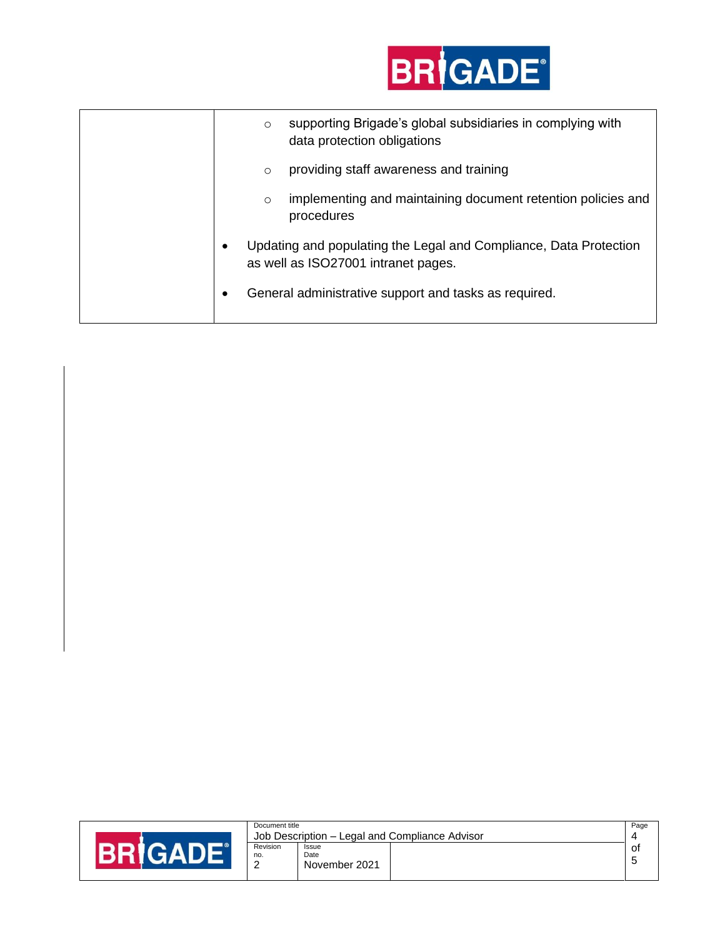

|  | $\circ$ | supporting Brigade's global subsidiaries in complying with<br>data protection obligations                |
|--|---------|----------------------------------------------------------------------------------------------------------|
|  | $\circ$ | providing staff awareness and training                                                                   |
|  | $\circ$ | implementing and maintaining document retention policies and<br>procedures                               |
|  |         | Updating and populating the Legal and Compliance, Data Protection<br>as well as ISO27001 intranet pages. |
|  |         | General administrative support and tasks as required.                                                    |

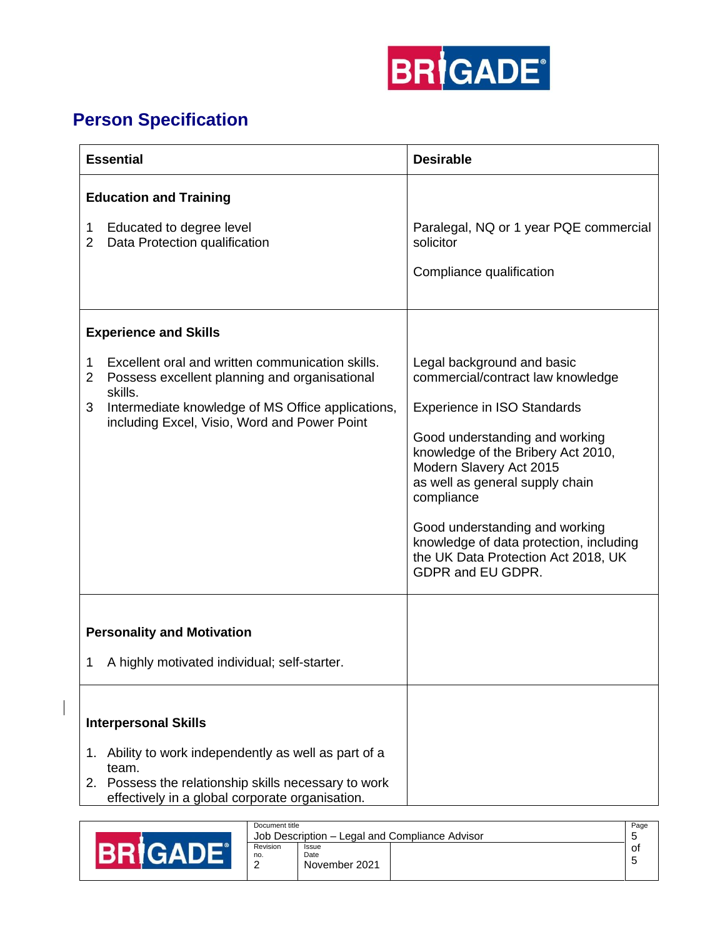

## **Person Specification**

 $\overline{\phantom{a}}$ 

| <b>Essential</b>                                                                                                                                                                | <b>Desirable</b>                                                                                                                                                                       |  |
|---------------------------------------------------------------------------------------------------------------------------------------------------------------------------------|----------------------------------------------------------------------------------------------------------------------------------------------------------------------------------------|--|
| <b>Education and Training</b>                                                                                                                                                   |                                                                                                                                                                                        |  |
| Educated to degree level<br>1<br>$\overline{2}$<br>Data Protection qualification                                                                                                | Paralegal, NQ or 1 year PQE commercial<br>solicitor                                                                                                                                    |  |
|                                                                                                                                                                                 | Compliance qualification                                                                                                                                                               |  |
| <b>Experience and Skills</b>                                                                                                                                                    |                                                                                                                                                                                        |  |
| Excellent oral and written communication skills.<br>1<br>2<br>Possess excellent planning and organisational<br>skills.                                                          | Legal background and basic<br>commercial/contract law knowledge                                                                                                                        |  |
| 3<br>Intermediate knowledge of MS Office applications,<br>including Excel, Visio, Word and Power Point                                                                          | <b>Experience in ISO Standards</b><br>Good understanding and working<br>knowledge of the Bribery Act 2010,<br>Modern Slavery Act 2015<br>as well as general supply chain<br>compliance |  |
|                                                                                                                                                                                 | Good understanding and working<br>knowledge of data protection, including<br>the UK Data Protection Act 2018, UK<br>GDPR and EU GDPR.                                                  |  |
| <b>Personality and Motivation</b>                                                                                                                                               |                                                                                                                                                                                        |  |
| A highly motivated individual; self-starter.<br>1                                                                                                                               |                                                                                                                                                                                        |  |
| <b>Interpersonal Skills</b>                                                                                                                                                     |                                                                                                                                                                                        |  |
| Ability to work independently as well as part of a<br>1.<br>team.<br>Possess the relationship skills necessary to work<br>2.<br>effectively in a global corporate organisation. |                                                                                                                                                                                        |  |

|           | Document title                |                                |                                                | Page     |
|-----------|-------------------------------|--------------------------------|------------------------------------------------|----------|
|           |                               |                                | Job Description – Legal and Compliance Advisor |          |
| <b>RR</b> | Revision<br>no.<br>$\sqrt{2}$ | Issue<br>Date<br>November 2021 |                                                | .ot<br>∽ |